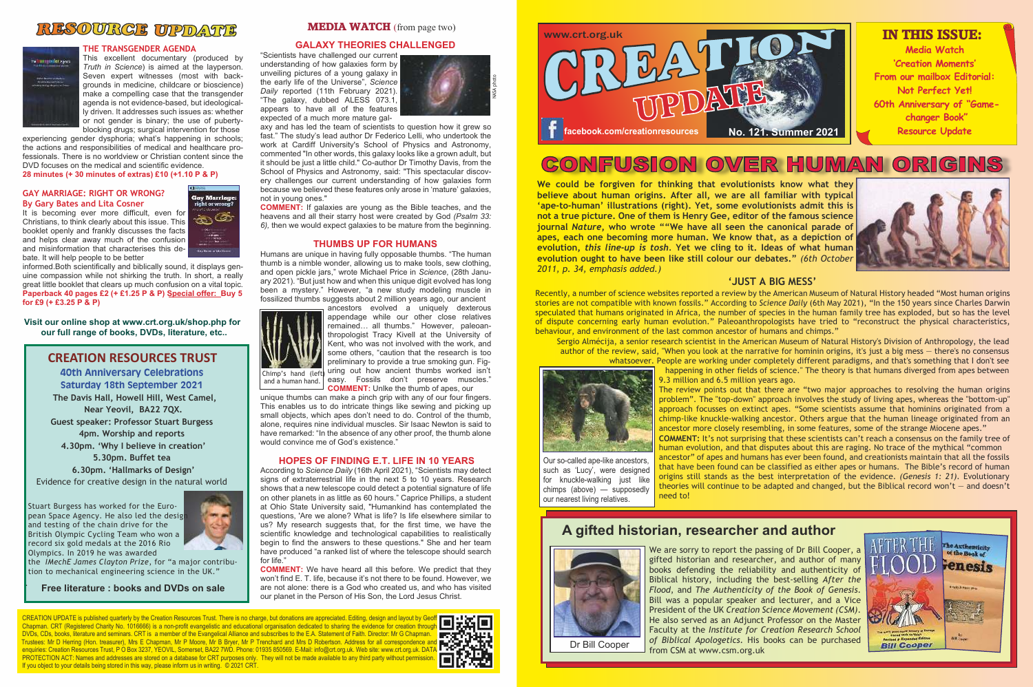**'Creation Moments' From our mailbox Editorial: Not Perfect Yet! 60th Anniversary of "Game-Resource Update**

ORIGINS





## RESOURCE UPDATE



#### **THE TRANSGENDER AGENDA**

This excellent documentary (produced by *Truth in Science*) is aimed at the layperson. Seven expert witnesses (most with backgrounds in medicine, childcare or bioscience) make a compelling case that the transgender agenda is not evidence-based, but ideologically driven. It addresses such issues as: whether or not gender is binary; the use of pubertyblocking drugs; surgical intervention for those

> **Gay Marriage** right or wrong  $\circledast$

de, lise with the

experiencing gender dysphoria; what's happening in schools; the actions and responsibilities of medical and healthcare professionals. There is no worldview or Christian content since the DVD focuses on the medical and scientific evidence. **28 minutes (+ 30 minutes of extras) £10 (+1.10 P & P)**

#### **GAY MARRIAGE: RIGHT OR WRONG? By Gary Bates and Lita Cosner**

It is becoming ever more difficult, even for Christians, to think clearly about this issue. This booklet openly and frankly discusses the facts and helps clear away much of the confusion and misinformation that characterises this debate. It will help people to be better

informed.Both scientifically and biblically sound, it displays genuine compassion while not shirking the truth. In short, a really great little booklet that clears up much confusion on a vital topic. **Paperback 40 pages £2 (+ £1.25 P & P) Special offer: Buy 5 for £9 (+ £3.25 P & P)**

**Visit our online shop at www.crt.org.uk/shop.php for our full range of books, DVDs, literature, etc..**

#### **GALAXY THEORIES CHALLENGED**

"Scientists have challenged our current understanding of how galaxies form by unveiling pictures of a young galaxy in the early life of the Universe", *Science Daily* reported (11th February 2021). "The galaxy, dubbed ALESS 073.1, appears to have all of the features expected of a much more mature gal-

axy and has led the team of scientists to question how it grew so fast." The study's lead author Dr Federico Lelli, who undertook the work at Cardiff University's School of Physics and Astronomy, commented "In other words, this galaxy looks like a grown adult, but it should be just a little child." Co-author Dr Timothy Davis, from the School of Physics and Astronomy, said: "This spectacular discovery challenges our current understanding of how galaxies form because we believed these features only arose in 'mature' galaxies, not in young ones."



# NFUSION OVER HUMAN

**COMMENT:** If galaxies are young as the Bible teaches, and the heavens and all their starry host were created by God *(Psalm 33: 6),* then we would expect galaxies to be mature from the beginning.

#### **THUMBS UP FOR HUMANS**

Humans are unique in having fully opposable thumbs. "The human thumb is a nimble wonder, allowing us to make tools, sew clothing, and open pickle jars," wrote Michael Price in *Science*, (28th January 2021). "But just how and when this unique digit evolved has long been a mystery." However, "a new study modeling muscle in fossilized thumbs suggests about 2 million years ago, our ancient



ancestors evolved a uniquely dexterous appendage while our other close relatives remained… all thumbs." However, paleoanthropologist Tracy Kivell at the University of Kent, who was not involved with the work, and some others, "caution that the research is too preliminary to provide a true smoking gun. Fig-Chimp's hand (left) uring out how ancient thumbs worked isn't and a human hand. easy. Fossils don't preserve muscles." **COMMENT:** Unlke the thumb of apes, our

unique thumbs can make a pinch grip with any of our four fingers. This enables us to do intricate things like sewing and picking up small objects, which apes don't need to do. Control of the thumb, alone, requires nine individual muscles. Sir Isaac Newton is said to have remarked: "In the absence of any other proof, the thumb alone would convince me of God's existence."

#### **HOPES OF FINDING E.T. LIFE IN 10 YEARS**

According to *Science Daily* (16th April 2021), "Scientists may detect signs of extraterrestrial life in the next 5 to 10 years. Research shows that a new telescope could detect a potential signature of life on other planets in as little as 60 hours." Caprice Phillips, a student at Ohio State University said, "Humankind has contemplated the questions, 'Are we alone? What is life? Is life elsewhere similar to us? My research suggests that, for the first time, we have the scientific knowledge and technological capabilities to realistically begin to find the answers to these questions." She and her team have produced "a ranked list of where the telescope should search for life."

**COMMENT:** We have heard all this before. We predict that they won't find E. T. life, because it's not there to be found. However, we are not alone: there is a God who created us, and who has visited our planet in the Person of His Son, the Lord Jesus Christ.

CREATION UPDATE is published quarterly by the Creation Resources Trust. There is no charge, but donations are appreciated. Editing, design and layout by Ge Chapman. CRT (Registered Charity No. 1016666) is a non-profit evangelistic and educational organisation dedicated to sharing the evidence for creation through DVDs, CDs, books, literature and seminars. CRT is a member of the Evangelical Alliance and subscribes to the E.A. Statement of Faith. Director: Mr G Chapman. Trustees: Mr D Herring (Hon. treasurer), Mrs E Chapman, Mr P Moore, Mr B Bryer, Mr P Trenchard and Mrs D Robertson. Address for all correspondence and enquiries: Creation Resources Trust, P O Box 3237, YEOVIL, Somerset, BA22 7WD. Phone: 01935 850569. E-Mail: info@crt.org.uk. Web site: www.crt.org.uk. DAT PROTECTION ACT: Names and addresses are stored on a database for CRT purposes only. They will not be made available to any third party without permission If you object to your details being stored in this way, please inform us in writing. © 2021 CRT.





**We could be forgiven for thinking that evolutionists know what they believe about human origins. After all, we are all familiar with typical 'ape-to-human' illustrations (right). Yet, some evolutionists admit this is not a true picture. One of them is Henry Gee, editor of the famous science journal** *Nature***, who wrote ""We have all seen the canonical parade of apes, each one becoming more human. We know that, as a depiction of evolution,** *this line-up is tosh.* **Yet we cling to it. Ideas of what human evolution ought to have been like still colour our debates."** *(6th October 2011, p. 34, emphasis added.)*

### **'JUST A BIG MESS'**

Recently, a number of science websites reported a review by the American Museum of Natural History headed "Most human origins stories are not compatible with known fossils." According to *Science Daily* (6th May 2021), "In the 150 years since Charles Darwin speculated that humans originated in Africa, the number of species in the human family tree has exploded, but so has the level of dispute concerning early human evolution." Paleoanthropologists have tried to "reconstruct the physical characteristics, behaviour, and environment of the last common ancestor of humans and chimps."

Sergio Almécija, a senior research scientist in the American Museum of Natural History's Division of Anthropology, the lead author of the review, said, "When you look at the narrative for hominin origins, it's just a big mess — there's no consensus whatsoever. People are working under completely different paradigms, and that's something that I don't see happening in other fields of science." The theory is that humans diverged from apes between 9.3 million and 6.5 million years ago.



The review points out that there are "two major approaches to resolving the human origins problem". The "top-down" approach involves the study of living apes, whereas the "bottom-up" approach focusses on extinct apes. "Some scientists assume that hominins originated from a chimp-like knuckle-walking ancestor. Others argue that the human lineage originated from an ancestor more closely resembling, in some features, some of the strange Miocene apes." **COMMENT:** It's not surprising that these scientists can't reach a consensus on the family tree of human evolution, and that disputes about this are raging. No trace of the mythical "common Our so-called ape-like ancestors, ancestor" of apes and humans has ever been found, and creationists maintain that all the fossils such as 'Lucy', were designed that have been found can be classified as either apes or humans. The Bible's record of human for knuckle-walking just like origins still stands as the best interpretation of the evidence. *(Genesis 1: 21)*. Evolutionary chimps (above) — supposedly theories will continue to be adapted and changed, but the Biblical record won't — and doesn't need to!

> We are sorry to report the passing of Dr Bill Cooper, a gifted historian and researcher, and author of many books defending the reliability and authenticity of Biblical history, including the best-selling *After the Flood*, and *The Authenticity of the Book of Genesis*. Bill was a popular speaker and lecturer, and a Vice President of the UK *Creation Science Movement (CSM)*. He also served as an Adjunct Professor on the Master Faculty at the *Institute for Creation Research School of Biblical Apologetics*. His books can be purchased from CSM at www.csm.org.uk

## **CREATION RESOURCES TRUST**

**40th Anniversary Celebrations Saturday 18th September 2021 The Davis Hall, Howell Hill, West Camel, Near Yeovil, BA22 7QX. Guest speaker: Professor Stuart Burgess 4pm. Worship and reports 4.30pm. 'Why I believe in creation' 5.30pm. Buffet tea 6.30pm. 'Hallmarks of Design'** Evidence for creative design in the natural world

Stuart Burgess has worked for the European Space Agency. He also led the design and testing of the chain drive for the British Olympic Cycling Team who won a record six gold medals at the 2016 Rio Olympics. In 2019 he was awarded

the *IMechE James Clayton Prize*, for "a major contribution to mechanical engineering science in the UK."

.



**Free literature : books and DVDs on sale**

our nearest living relatives.



## **A gifted historian, researcher and author**